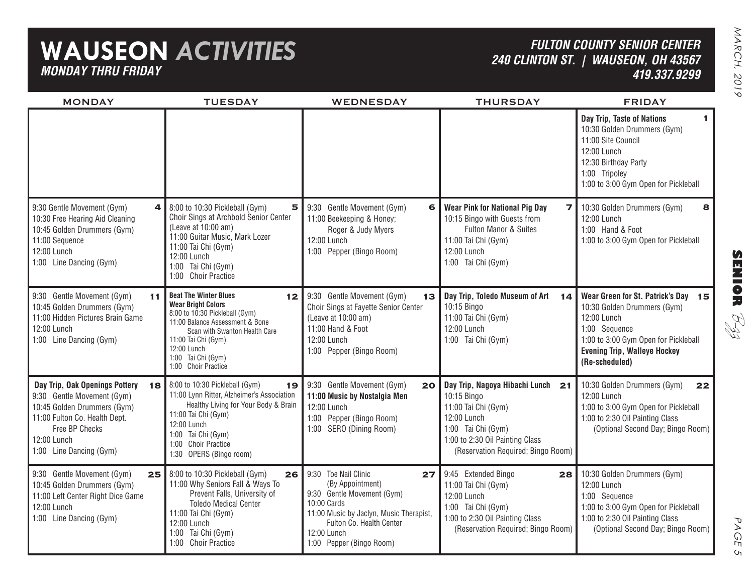# **WAUSEON** *ACTIVITIESMONDAY THRU FRIDAY*

### *FULTON COUNTY SENIOR CENTER240 CLINTON ST. | WAUSEON, OH 43567 419.337.9299*

MONDAY TUESDAY WEDNESDAY THURSDAY FRIDAY **144** | 8:00 to 10:30 Pickleball (Gym) 5 | 9:30 Gentle Movement (Gym) **6** | Wear Pink for National Pig Day 7 | 10:30 Golden Drummers (Gym) 8 **1112** 9:30 Gentle Movement (Gym) **13** Day Trip, Toledo Museum of Art 14 | Wear Green for St. Patrick's Day 15 **18 19 20 21 22 Day Trip, Nagoya Hibachi Lunch 25 26 27 28** 8:00 to 10:30 Pickleball (Gym) 9:30 Gentle Movement (Gym) 10:45 Golden Drummers (Gym) 11:00 Hidden Pictures Brain Game12:00 Lunch1:00 Line Dancing (Gym) 9:30 Gentle Movement (Gym) 10:30 Free Hearing Aid Cleaning 10:45 Golden Drummers (Gym) 11:00 Sequence 12:00 Lunch1:00 Line Dancing (Gym)  **Day Trip, Oak Openings Pottery** 9:30 Gentle Movement (Gym) 10:45 Golden Drummers (Gym) 11:00 Fulton Co. Health Dept. Free BP Checks12:00 Lunch1:00 Line Dancing (Gym) 9:30 Gentle Movement (Gym) 10:45 Golden Drummers (Gym) 11:00 Left Center Right Dice Game 12:00 Lunch1:00 Line Dancing (Gym) 9:30 Gentle Movement (Gym) Choir Sings at Fayette Senior Center (Leave at 10:00 am) 11:00 Hand & Foot12:00 Lunch1:00 Pepper (Bingo Room) 9:30 Gentle Movement (Gym) 11:00 Beekeeping & Honey; Roger & Judy Myers 12:00 Lunch1:00 Pepper (Bingo Room) 9:30 Gentle Movement (Gym) **11:00 Music by Nostalgia Men** 12:00 Lunch1:00 Pepper (Bingo Room) 1:00 SERO (Dining Room) 9:30 Toe Nail Clinic (By Appointment) 9:30 Gentle Movement (Gym) 10:00 Cards11:00 Music by Jaclyn, Music Therapist, Fulton Co. Health Center12:00 Lunch1:00 Pepper (Bingo Room) **Beat The Winter BluesWear Bright Colors** 8:00 to 10:30 Pickleball (Gym) 11:00 Balance Assessment & Bone Scan with Swanton Health Care11:00 Tai Chi (Gym) 12:00 Lunch 1:00 Tai Chi (Gym) 1:00 Choir Practice 8:00 to 10:30 Pickleball (Gym) Choir Sings at Archbold Senior Center (Leave at 10:00 am) 11:00 Guitar Music, Mark Lozer 11:00 Tai Chi (Gym) 12:00 Lunch1:00 Tai Chi (Gym) 1:00 Choir Practice 8:00 to 10:30 Pickleball (Gym) 11:00 Lynn Ritter, Alzheimer's Association Healthy Living for Your Body & Brain 11:00 Tai Chi (Gym) 12:00 Lunch1:00 Tai Chi (Gym) 1:00 Choir Practice1:30 OPERS (Bingo room) 11:00 Why Seniors Fall & Ways To Prevent Falls, University of Toledo Medical Center11:00 Tai Chi (Gym) 12:00 Lunch1:00 Tai Chi (Gym) 1:00 Choir Practice 10:15 Bingo 11:00 Tai Chi (Gym) 12:00 Lunch1:00 Tai Chi (Gym) 10:15 Bingo with Guests from Fulton Manor & Suites11:00 Tai Chi (Gym) 12:00 Lunch1:00 Tai Chi (Gym) 10:15 Bingo 11:00 Tai Chi (Gym) 12:00 Lunch1:00 Tai Chi (Gym) 1:00 to 2:30 Oil Painting Class (Reservation Required; Bingo Room) 9:45 Extended Bingo 11:00 Tai Chi (Gym) 12:00 Lunch1:00 Tai Chi (Gym) 1:00 to 2:30 Oil Painting Class (Reservation Required; Bingo Room) 10:30 Golden Drummers (Gym) 12:00 Lunch1:00 Sequence 1:00 to 3:00 Gym Open for Pickleball 1:00 to 2:30 Oil Painting Class (Optional Second Day; Bingo Room) **Day Trip, Taste of Nations** 10:30 Golden Drummers (Gym) 11:00 Site Council12:00 Lunch12:30 Birthday Party 1:00 Tripoley 1:00 to 3:00 Gym Open for Pickleball **Wear Green for St. Patrick's Day** 10:30 Golden Drummers (Gym) 12:00 Lunch1:00 Sequence 1:00 to 3:00 Gym Open for Pickleball **Evening Trip, Walleye Hockey (Re-scheduled)** 10:30 Golden Drummers (Gym) 12:00 Lunch1:00 Hand & Foot1:00 to 3:00 Gym Open for Pickleball 10:30 Golden Drummers (Gym) 12:00 Lunch1:00 to 3:00 Gym Open for Pickleball 1:00 to 2:30 Oil Painting Class (Optional Second Day; Bingo Room)

**SENIOR** B-zz

> PAGE PAGE 5  $\sigma$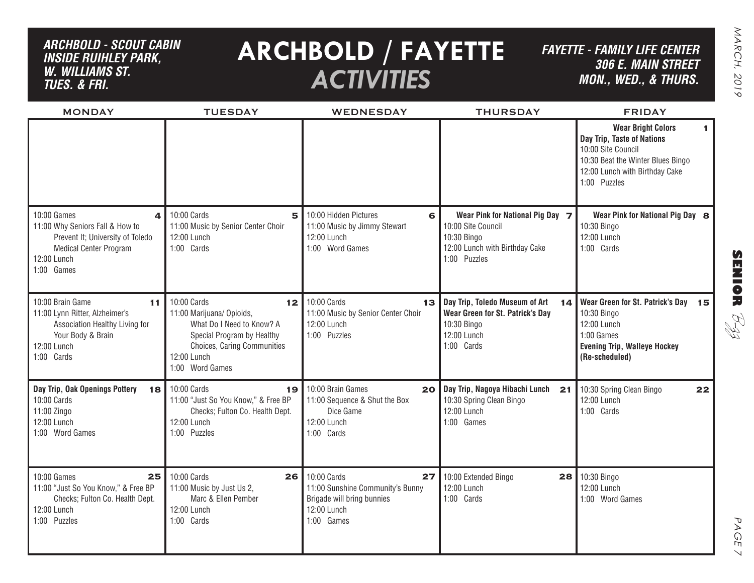## *ARCHBOLD - SCOUT CABIN inside ruihley park, w. williams st. tues. & FRI.*

# **ARCHBOLD / FAYETTE** *ACTIVITIES*

*FAYETTE - FAMILY LIFE CENTER306 E. Main Street MON., Wed., & THURS.*

| <b>MONDAY</b>                                                                                                                                                    | <b>TUESDAY</b>                                                                                                                                                                          | <b>WEDNESDAY</b>                                                                                                 | <b>THURSDAY</b>                                                                                                         | <b>FRIDAY</b>                                                                                                                                                              |
|------------------------------------------------------------------------------------------------------------------------------------------------------------------|-----------------------------------------------------------------------------------------------------------------------------------------------------------------------------------------|------------------------------------------------------------------------------------------------------------------|-------------------------------------------------------------------------------------------------------------------------|----------------------------------------------------------------------------------------------------------------------------------------------------------------------------|
|                                                                                                                                                                  |                                                                                                                                                                                         |                                                                                                                  |                                                                                                                         | <b>Wear Bright Colors</b><br>1.<br>Day Trip, Taste of Nations<br>10:00 Site Council<br>10:30 Beat the Winter Blues Bingo<br>12:00 Lunch with Birthday Cake<br>1:00 Puzzles |
| 10:00 Games<br>$\mathbf{A}$<br>11:00 Why Seniors Fall & How to<br>Prevent It; University of Toledo<br><b>Medical Center Program</b><br>12:00 Lunch<br>1:00 Games | 10:00 Cards<br>5<br>11:00 Music by Senior Center Choir<br>12:00 Lunch<br>1:00 Cards                                                                                                     | 10:00 Hidden Pictures<br>6<br>11:00 Music by Jimmy Stewart<br>12:00 Lunch<br>1:00 Word Games                     | Wear Pink for National Pig Day 7<br>10:00 Site Council<br>10:30 Bingo<br>12:00 Lunch with Birthday Cake<br>1:00 Puzzles | Wear Pink for National Pig Day 8<br>10:30 Bingo<br>12:00 Lunch<br>1:00 Cards                                                                                               |
| 10:00 Brain Game<br>11<br>11:00 Lynn Ritter, Alzheimer's<br>Association Healthy Living for<br>Your Body & Brain<br>12:00 Lunch<br>1:00 Cards                     | 10:00 Cards<br>12 <sub>1</sub><br>11:00 Marijuana/ Opioids,<br>What Do I Need to Know? A<br>Special Program by Healthy<br>Choices, Caring Communities<br>12:00 Lunch<br>1:00 Word Games | 10:00 Cards<br>13 <sub>1</sub><br>11:00 Music by Senior Center Choir<br>12:00 Lunch<br>1:00 Puzzles              | Day Trip, Toledo Museum of Art<br>14<br>Wear Green for St. Patrick's Day<br>10:30 Bingo<br>12:00 Lunch<br>1:00 Cards    | Wear Green for St. Patrick's Day 15<br>10:30 Bingo<br>12:00 Lunch<br>1:00 Games<br><b>Evening Trip, Walleye Hockey</b><br>(Re-scheduled)                                   |
| Day Trip, Oak Openings Pottery<br>10:00 Cards<br>11:00 Zingo<br>12:00 Lunch<br>1:00 Word Games                                                                   | 18 10:00 Cards<br>19<br>11:00 "Just So You Know," & Free BP<br>Checks; Fulton Co. Health Dept.<br>12:00 Lunch<br>1:00 Puzzles                                                           | 10:00 Brain Games<br>20<br>11:00 Sequence & Shut the Box<br>Dice Game<br>12:00 Lunch<br>1:00 Cards               | Day Trip, Nagoya Hibachi Lunch<br>21<br>10:30 Spring Clean Bingo<br>12:00 Lunch<br>1:00 Games                           | 10:30 Spring Clean Bingo<br>22<br>12:00 Lunch<br>1:00 Cards                                                                                                                |
| 10:00 Games<br>25<br>11:00 "Just So You Know," & Free BP<br>Checks; Fulton Co. Health Dept.<br>12:00 Lunch<br>1:00 Puzzles                                       | 10:00 Cards<br>26<br>11:00 Music by Just Us 2,<br>Marc & Ellen Pember<br>12:00 Lunch<br>1:00 Cards                                                                                      | 10:00 Cards<br>27<br>11:00 Sunshine Community's Bunny<br>Brigade will bring bunnies<br>12:00 Lunch<br>1:00 Games | 10:00 Extended Bingo<br>12:00 Lunch<br>1:00 Cards                                                                       | 28 10:30 Bingo<br>12:00 Lunch<br>1:00 Word Games                                                                                                                           |

PAGE PAGE 7  $\vee$ 

**SENIOR** B-zz